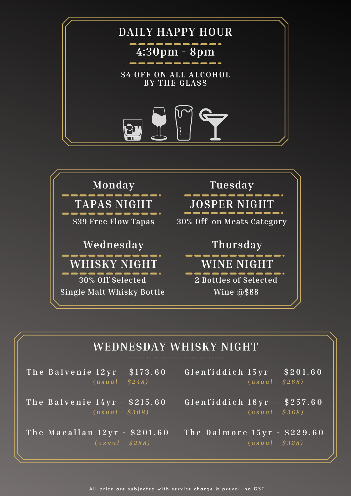



## **WEDNESDAY WHISKY NIGHT**

**T h e B a l v e n i e 1 2 y r - \$ 1 7 3 . 6 0 ( u** *s u a l - \$ 2 4 8 )*

**( u** *s u a l - \$ 3 0 8 )*

**( u** *s u a l - \$ 2 8 8 )*

- **G l e n f i d d i c h 1 5 y r - \$ 2 0 1 . 6 0 ( u** *s u a l - \$ 2 8 8 )*
- The Balvenie 14yr \$215.60 Glenfiddich 18yr \$257.60 **( u** *s u a l - \$ 3 6 8 )*
- The Macallan 12yr \$201.60 The Dalmore 15yr \$229.60 **( u** *s u a l - \$ 3 2 8 )*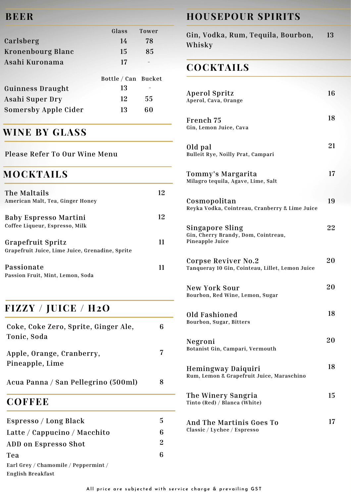#### **BEER**

|                             | Glass               | <b>Tower</b> |
|-----------------------------|---------------------|--------------|
| Carlsberg                   | 14                  | 78           |
| Kronenbourg Blanc           | 15                  | 85           |
| Asahi Kuronama              | 17                  |              |
|                             |                     |              |
|                             |                     |              |
|                             | Bottle / Can Bucket |              |
| <b>Guinness Draught</b>     | 13                  |              |
| Asahi Super Dry             | 12                  | 55           |
| <b>Somersby Apple Cider</b> | 13                  | 60           |

## **WINE BY GLASS**

**Please Refer To Our Wine Menu**

## **MOCKTAILS**

| The Maltails<br>American Malt, Tea, Ginger Honey              | 12 |
|---------------------------------------------------------------|----|
| <b>Baby Espresso Martini</b>                                  | 12 |
| Coffee Liqueur, Espresso, Milk<br><b>Grapefruit Spritz</b>    | 11 |
| Grapefruit Juice, Lime Juice, Grenadine, Sprite<br>Passionate |    |
| Passion Fruit, Mint, Lemon, Soda                              |    |

# **FIZZY / JUICE / H2O**

| Coke, Coke Zero, Sprite, Ginger Ale, | 6              | bourbon, sugar, bitters                            |    |
|--------------------------------------|----------------|----------------------------------------------------|----|
| Tonic, Soda                          |                | Negroni                                            | 20 |
| Apple, Orange, Cranberry,            | 7              | Botanist Gin, Campari, Vermouth                    |    |
| Pineapple, Lime                      |                | Hemingway Daiquiri                                 | 18 |
| Acua Panna / San Pellegrino (500ml)  | 8              | Rum, Lemon & Grapefruit Juice, Maraschino          |    |
| <b>COFFEE</b>                        |                | The Winery Sangria<br>Tinto (Red) / Blanca (White) |    |
| Espresso / Long Black                | $\overline{5}$ | And The Martinis Goes To                           | 17 |
| Latte / Cappucino / Macchito         | 6              | Classic / Lychee / Espresso                        |    |
| ADD on Espresso Shot                 | $\overline{2}$ |                                                    |    |
| Tea                                  | 6              |                                                    |    |

#### **Earl Grey / Chamomile / Peppermint / English Breakfast**

## **HOUSEPOUR SPIRITS**

**Gin, Vodka, Rum, Tequila, Bourbon, Whisky 13**

#### **COCKTAILS**

| <b>Aperol Spritz</b><br>Aperol, Cava, Orange                                     | 16 |
|----------------------------------------------------------------------------------|----|
| French 75<br>Gin, Lemon Juice, Cava                                              | 18 |
| Old pal<br>Bulleit Rye, Noilly Prat, Campari                                     | 21 |
| Tommy's Margarita<br>Milagro tequila, Agave, Lime, Salt                          | 17 |
| Cosmopolitan<br>Reyka Vodka, Cointreau, Cranberry & Lime Juice                   | 19 |
| <b>Singapore Sling</b><br>Gin, Cherry Brandy, Dom, Cointreau,<br>Pineapple Juice | 22 |
| Corpse Reviver No.2<br>Tanqueray 10 Gin, Cointeau, Lillet, Lemon Juice           | 20 |
| <b>New York Sour</b><br>Bourbon, Red Wine, Lemon, Sugar                          | 20 |
| Old Fashioned<br>Bourbon, Sugar, Bitters                                         | 18 |
| Negroni<br>Botanist Gin, Campari, Vermouth                                       | 20 |
| Hemingway Daiquiri<br>Rum, Lemon & Grapefruit Juice, Maraschino                  | 18 |
| The Winery Sangria<br>Tinto (Red) / Blanca (White)                               | 15 |
| <b>And The Martinis Goes To</b><br>Classic / Lychee / Espresso                   | 17 |